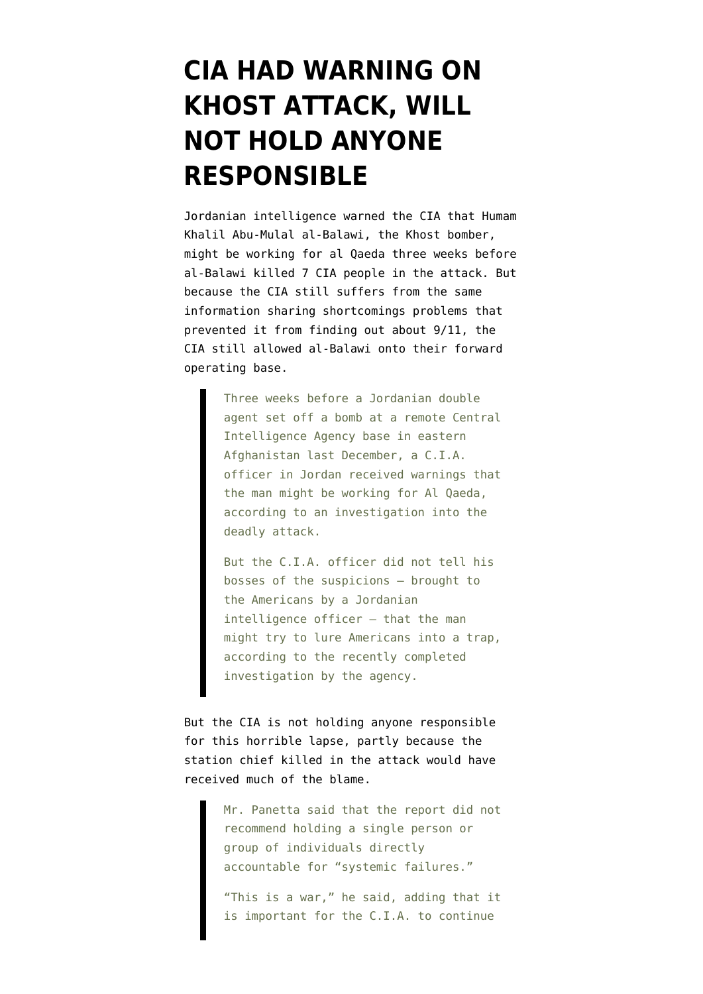## **[CIA HAD WARNING ON](https://www.emptywheel.net/2010/10/19/cia-had-warning-on-khost-attack-will-not-hold-anyone-responsible/) [KHOST ATTACK, WILL](https://www.emptywheel.net/2010/10/19/cia-had-warning-on-khost-attack-will-not-hold-anyone-responsible/) [NOT HOLD ANYONE](https://www.emptywheel.net/2010/10/19/cia-had-warning-on-khost-attack-will-not-hold-anyone-responsible/) [RESPONSIBLE](https://www.emptywheel.net/2010/10/19/cia-had-warning-on-khost-attack-will-not-hold-anyone-responsible/)**

Jordanian intelligence [warned](http://www.nytimes.com/2010/10/20/world/asia/20intel.html?hp) the CIA that Humam Khalil Abu-Mulal al-Balawi, the Khost bomber, might be working for al Qaeda three weeks before al-Balawi killed 7 CIA people in the attack. But because the CIA still suffers from the same information sharing shortcomings problems that prevented it from finding out about 9/11, the CIA still allowed al-Balawi onto their forward operating base.

> Three weeks before a Jordanian double agent set off a bomb at a remote Central Intelligence Agency base in eastern Afghanistan last December, a C.I.A. officer in Jordan received warnings that the man might be working for Al Qaeda, according to an investigation into the deadly attack.

> But the C.I.A. officer did not tell his bosses of the suspicions — brought to the Americans by a Jordanian intelligence officer — that the man might try to lure Americans into a trap, according to the recently completed investigation by the agency.

But the CIA is not holding anyone responsible for this horrible lapse, partly because the station chief killed in the attack would have received much of the blame.

> Mr. Panetta said that the report did not recommend holding a single person or group of individuals directly accountable for "systemic failures."

> "This is a war," he said, adding that it is important for the C.I.A. to continue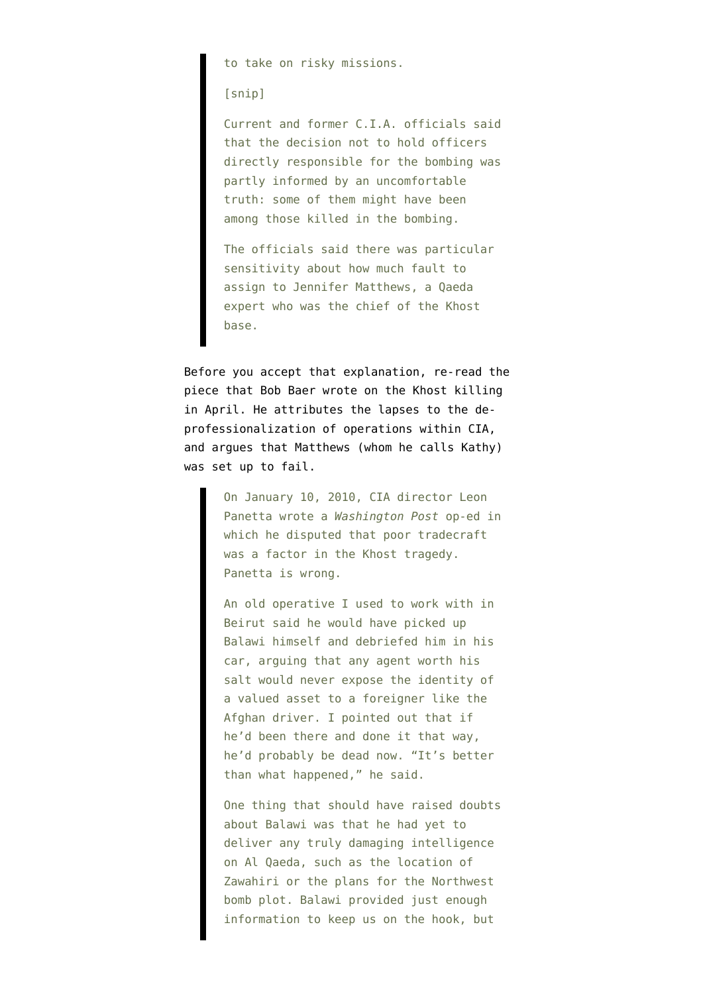to take on risky missions.

[snip]

Current and former C.I.A. officials said that the decision not to hold officers directly responsible for the bombing was partly informed by an uncomfortable truth: some of them might have been among those killed in the bombing.

The officials said there was particular sensitivity about how much fault to assign to Jennifer Matthews, a Qaeda expert who was the chief of the Khost base.

Before you accept that explanation, re-read [the](http://www.gq.com/news-politics/politics/201004/dagger-to-the-cia?printable=true) [piece that Bob Baer wrote](http://www.gq.com/news-politics/politics/201004/dagger-to-the-cia?printable=true) on the Khost killing in April. He attributes the lapses to the deprofessionalization of operations within CIA, and argues that Matthews (whom he calls Kathy) was set up to fail.

> On January 10, 2010, CIA director Leon Panetta wrote a *Washington Post* op-ed in which he disputed that poor tradecraft was a factor in the Khost tragedy. Panetta is wrong.

An old operative I used to work with in Beirut said he would have picked up Balawi himself and debriefed him in his car, arguing that any agent worth his salt would never expose the identity of a valued asset to a foreigner like the Afghan driver. I pointed out that if he'd been there and done it that way, he'd probably be dead now. "It's better than what happened," he said.

One thing that should have raised doubts about Balawi was that he had yet to deliver any truly damaging intelligence on Al Qaeda, such as the location of Zawahiri or the plans for the Northwest bomb plot. Balawi provided just enough information to keep us on the hook, but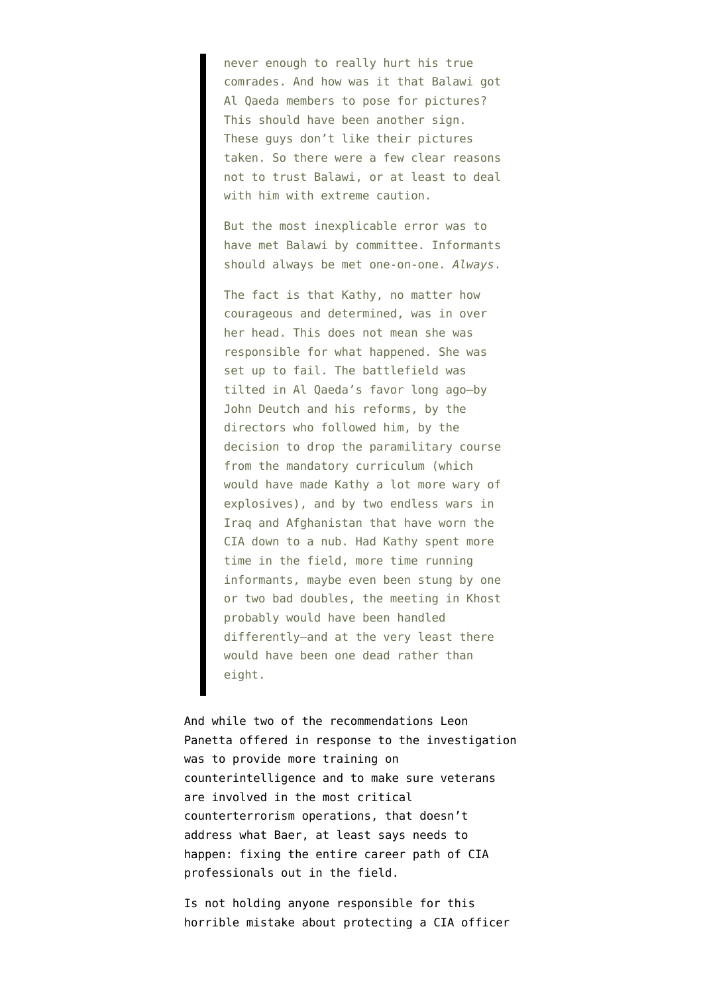never enough to really hurt his true comrades. And how was it that Balawi got Al Qaeda members to pose for pictures? This should have been another sign. These guys don't like their pictures taken. So there were a few clear reasons not to trust Balawi, or at least to deal with him with extreme caution.

But the most inexplicable error was to have met Balawi by committee. Informants should always be met one-on-one. *Always*.

The fact is that Kathy, no matter how courageous and determined, was in over her head. This does not mean she was responsible for what happened. She was set up to fail. The battlefield was tilted in Al Qaeda's favor long ago—by John Deutch and his reforms, by the directors who followed him, by the decision to drop the paramilitary course from the mandatory curriculum (which would have made Kathy a lot more wary of explosives), and by two endless wars in Iraq and Afghanistan that have worn the CIA down to a nub. Had Kathy spent more time in the field, more time running informants, maybe even been stung by one or two bad doubles, the meeting in Khost probably would have been handled differently—and at the very least there would have been one dead rather than eight.

And while two of the recommendations Leon Panetta [offered](http://www.politico.com/blogs/joshgerstein/1010/Panetta_touts_reforms_due_to_Afghanistan_attack.html?showall) in response to the investigation was to provide more training on counterintelligence and to make sure veterans are involved in the most critical counterterrorism operations, that doesn't address what Baer, at least says needs to happen: fixing the entire career path of CIA professionals out in the field.

Is not holding anyone responsible for this horrible mistake about protecting a CIA officer